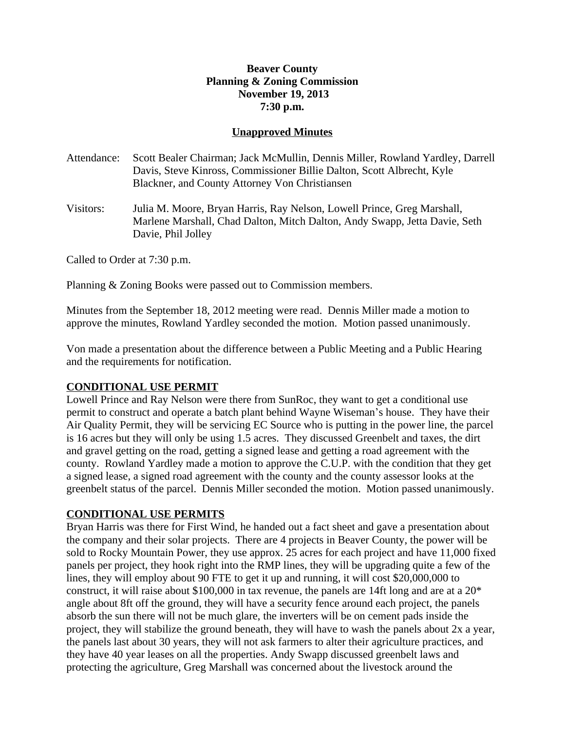# **Beaver County Planning & Zoning Commission November 19, 2013 7:30 p.m.**

## **Unapproved Minutes**

- Attendance: Scott Bealer Chairman; Jack McMullin, Dennis Miller, Rowland Yardley, Darrell Davis, Steve Kinross, Commissioner Billie Dalton, Scott Albrecht, Kyle Blackner, and County Attorney Von Christiansen
- Visitors: Julia M. Moore, Bryan Harris, Ray Nelson, Lowell Prince, Greg Marshall, Marlene Marshall, Chad Dalton, Mitch Dalton, Andy Swapp, Jetta Davie, Seth Davie, Phil Jolley

Called to Order at 7:30 p.m.

Planning & Zoning Books were passed out to Commission members.

Minutes from the September 18, 2012 meeting were read. Dennis Miller made a motion to approve the minutes, Rowland Yardley seconded the motion. Motion passed unanimously.

Von made a presentation about the difference between a Public Meeting and a Public Hearing and the requirements for notification.

### **CONDITIONAL USE PERMIT**

Lowell Prince and Ray Nelson were there from SunRoc, they want to get a conditional use permit to construct and operate a batch plant behind Wayne Wiseman's house. They have their Air Quality Permit, they will be servicing EC Source who is putting in the power line, the parcel is 16 acres but they will only be using 1.5 acres. They discussed Greenbelt and taxes, the dirt and gravel getting on the road, getting a signed lease and getting a road agreement with the county. Rowland Yardley made a motion to approve the C.U.P. with the condition that they get a signed lease, a signed road agreement with the county and the county assessor looks at the greenbelt status of the parcel. Dennis Miller seconded the motion. Motion passed unanimously.

### **CONDITIONAL USE PERMITS**

Bryan Harris was there for First Wind, he handed out a fact sheet and gave a presentation about the company and their solar projects. There are 4 projects in Beaver County, the power will be sold to Rocky Mountain Power, they use approx. 25 acres for each project and have 11,000 fixed panels per project, they hook right into the RMP lines, they will be upgrading quite a few of the lines, they will employ about 90 FTE to get it up and running, it will cost \$20,000,000 to construct, it will raise about \$100,000 in tax revenue, the panels are 14ft long and are at a 20\* angle about 8ft off the ground, they will have a security fence around each project, the panels absorb the sun there will not be much glare, the inverters will be on cement pads inside the project, they will stabilize the ground beneath, they will have to wash the panels about 2x a year, the panels last about 30 years, they will not ask farmers to alter their agriculture practices, and they have 40 year leases on all the properties. Andy Swapp discussed greenbelt laws and protecting the agriculture, Greg Marshall was concerned about the livestock around the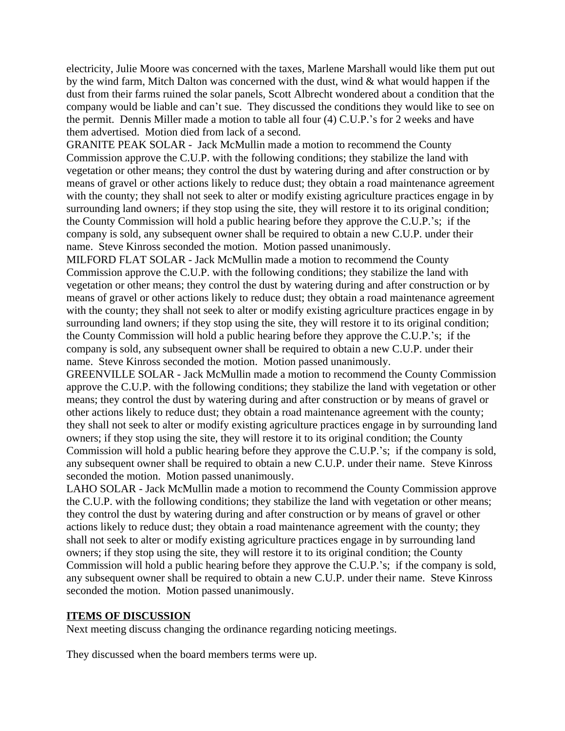electricity, Julie Moore was concerned with the taxes, Marlene Marshall would like them put out by the wind farm, Mitch Dalton was concerned with the dust, wind & what would happen if the dust from their farms ruined the solar panels, Scott Albrecht wondered about a condition that the company would be liable and can't sue. They discussed the conditions they would like to see on the permit. Dennis Miller made a motion to table all four (4) C.U.P.'s for 2 weeks and have them advertised. Motion died from lack of a second.

GRANITE PEAK SOLAR - Jack McMullin made a motion to recommend the County Commission approve the C.U.P. with the following conditions; they stabilize the land with vegetation or other means; they control the dust by watering during and after construction or by means of gravel or other actions likely to reduce dust; they obtain a road maintenance agreement with the county; they shall not seek to alter or modify existing agriculture practices engage in by surrounding land owners; if they stop using the site, they will restore it to its original condition; the County Commission will hold a public hearing before they approve the C.U.P.'s; if the company is sold, any subsequent owner shall be required to obtain a new C.U.P. under their name. Steve Kinross seconded the motion. Motion passed unanimously.

MILFORD FLAT SOLAR - Jack McMullin made a motion to recommend the County Commission approve the C.U.P. with the following conditions; they stabilize the land with vegetation or other means; they control the dust by watering during and after construction or by means of gravel or other actions likely to reduce dust; they obtain a road maintenance agreement with the county; they shall not seek to alter or modify existing agriculture practices engage in by surrounding land owners; if they stop using the site, they will restore it to its original condition; the County Commission will hold a public hearing before they approve the C.U.P.'s; if the company is sold, any subsequent owner shall be required to obtain a new C.U.P. under their name. Steve Kinross seconded the motion. Motion passed unanimously.

GREENVILLE SOLAR - Jack McMullin made a motion to recommend the County Commission approve the C.U.P. with the following conditions; they stabilize the land with vegetation or other means; they control the dust by watering during and after construction or by means of gravel or other actions likely to reduce dust; they obtain a road maintenance agreement with the county; they shall not seek to alter or modify existing agriculture practices engage in by surrounding land owners; if they stop using the site, they will restore it to its original condition; the County Commission will hold a public hearing before they approve the C.U.P.'s; if the company is sold, any subsequent owner shall be required to obtain a new C.U.P. under their name. Steve Kinross seconded the motion. Motion passed unanimously.

LAHO SOLAR - Jack McMullin made a motion to recommend the County Commission approve the C.U.P. with the following conditions; they stabilize the land with vegetation or other means; they control the dust by watering during and after construction or by means of gravel or other actions likely to reduce dust; they obtain a road maintenance agreement with the county; they shall not seek to alter or modify existing agriculture practices engage in by surrounding land owners; if they stop using the site, they will restore it to its original condition; the County Commission will hold a public hearing before they approve the C.U.P.'s; if the company is sold, any subsequent owner shall be required to obtain a new C.U.P. under their name. Steve Kinross seconded the motion. Motion passed unanimously.

#### **ITEMS OF DISCUSSION**

Next meeting discuss changing the ordinance regarding noticing meetings.

They discussed when the board members terms were up.